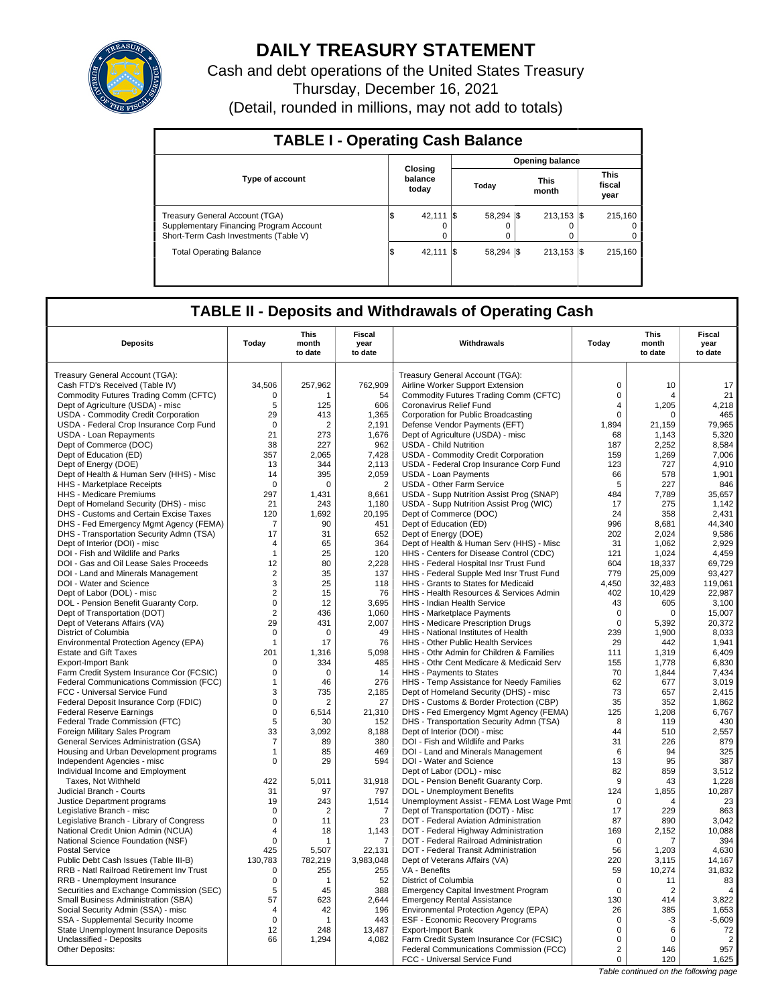

# **DAILY TREASURY STATEMENT**

Cash and debt operations of the United States Treasury Thursday, December 16, 2021 (Detail, rounded in millions, may not add to totals)

| <b>TABLE I - Operating Cash Balance</b>                                                                            |  |                             |  |                 |                      |                        |  |                               |  |
|--------------------------------------------------------------------------------------------------------------------|--|-----------------------------|--|-----------------|----------------------|------------------------|--|-------------------------------|--|
|                                                                                                                    |  |                             |  |                 |                      | <b>Opening balance</b> |  |                               |  |
| <b>Type of account</b>                                                                                             |  | Closing<br>balance<br>today |  | Today           | <b>This</b><br>month |                        |  | <b>This</b><br>fiscal<br>year |  |
| Treasury General Account (TGA)<br>Supplementary Financing Program Account<br>Short-Term Cash Investments (Table V) |  | 42.111 \\$<br>0             |  | 58.294 \\$<br>0 |                      | $213.153$ $\sqrt{5}$   |  | 215.160<br>$^{\circ}$<br>0    |  |
| <b>Total Operating Balance</b>                                                                                     |  | 42.111                      |  | 58.294 \\$      |                      | $213,153$ \$           |  | 215.160                       |  |

## **TABLE II - Deposits and Withdrawals of Operating Cash**

|                                                                                 |                     | <b>This</b>      | <b>Fiscal</b>   |                                                                                 |                   | <b>This</b>           | <b>Fiscal</b>    |
|---------------------------------------------------------------------------------|---------------------|------------------|-----------------|---------------------------------------------------------------------------------|-------------------|-----------------------|------------------|
| <b>Deposits</b>                                                                 | Today               | month<br>to date | year<br>to date | Withdrawals                                                                     | Today             | month<br>to date      | year<br>to date  |
| Treasury General Account (TGA):                                                 |                     |                  |                 | Treasury General Account (TGA):                                                 |                   |                       |                  |
| Cash FTD's Received (Table IV)                                                  | 34,506              | 257,962          | 762,909         | Airline Worker Support Extension                                                | $\mathsf 0$       | 10                    | 17               |
| Commodity Futures Trading Comm (CFTC)                                           | $\Omega$            | 1                | 54              | Commodity Futures Trading Comm (CFTC)                                           | $\mathbf 0$       | 4                     | 21               |
| Dept of Agriculture (USDA) - misc                                               | 5                   | 125              | 606             | Coronavirus Relief Fund                                                         | 4                 | 1,205                 | 4,218            |
| USDA - Commodity Credit Corporation                                             | 29                  | 413              | 1,365           | Corporation for Public Broadcasting                                             | $\Omega$          | $\Omega$              | 465              |
| USDA - Federal Crop Insurance Corp Fund                                         | $\mathbf 0$         | 2                | 2,191           | Defense Vendor Payments (EFT)                                                   | 1,894             | 21,159                | 79,965           |
| <b>USDA - Loan Repayments</b>                                                   | 21                  | 273              | 1,676           | Dept of Agriculture (USDA) - misc                                               | 68                | 1,143                 | 5,320            |
| Dept of Commerce (DOC)                                                          | 38                  | 227              | 962             | <b>USDA - Child Nutrition</b>                                                   | 187               | 2,252                 | 8,584            |
| Dept of Education (ED)                                                          | 357                 | 2.065            | 7.428           | USDA - Commodity Credit Corporation                                             | 159               | 1.269                 | 7.006            |
| Dept of Energy (DOE)                                                            | 13                  | 344              | 2.113           | USDA - Federal Crop Insurance Corp Fund                                         | 123               | 727                   | 4,910            |
| Dept of Health & Human Serv (HHS) - Misc                                        | 14                  | 395              | 2,059           | <b>USDA - Loan Payments</b>                                                     | 66                | 578                   | 1,901            |
| HHS - Marketplace Receipts                                                      | $\Omega$            | $\Omega$         | $\overline{2}$  | <b>USDA - Other Farm Service</b>                                                | 5                 | 227                   | 846              |
| <b>HHS - Medicare Premiums</b>                                                  | 297                 | 1,431            | 8,661           | USDA - Supp Nutrition Assist Prog (SNAP)                                        | 484               | 7,789                 | 35,657           |
| Dept of Homeland Security (DHS) - misc                                          | 21                  | 243              | 1,180           | USDA - Supp Nutrition Assist Prog (WIC)                                         | 17                | 275                   | 1,142            |
| DHS - Customs and Certain Excise Taxes                                          | 120                 | 1,692            | 20,195          | Dept of Commerce (DOC)                                                          | 24                | 358                   | 2,431            |
| DHS - Fed Emergency Mgmt Agency (FEMA)                                          | 7                   | 90               | 451             | Dept of Education (ED)                                                          | 996               | 8,681                 | 44,340           |
| DHS - Transportation Security Admn (TSA)                                        | 17                  | 31               | 652             | Dept of Energy (DOE)                                                            | 202               | 2,024                 | 9,586            |
| Dept of Interior (DOI) - misc                                                   | $\overline{4}$      | 65               | 364             | Dept of Health & Human Serv (HHS) - Misc                                        | 31                | 1,062                 | 2.929            |
| DOI - Fish and Wildlife and Parks                                               | $\mathbf{1}$        | 25               | 120             | HHS - Centers for Disease Control (CDC)                                         | 121<br>604        | 1,024                 | 4,459            |
| DOI - Gas and Oil Lease Sales Proceeds                                          | 12                  | 80               | 2.228           | HHS - Federal Hospital Insr Trust Fund                                          |                   | 18,337<br>25,009      | 69,729<br>93,427 |
| DOI - Land and Minerals Management                                              | $\overline{2}$<br>3 | 35<br>25         | 137             | HHS - Federal Supple Med Insr Trust Fund<br>HHS - Grants to States for Medicaid | 779<br>4,450      | 32,483                | 119,061          |
| DOI - Water and Science<br>Dept of Labor (DOL) - misc                           | $\overline{2}$      | 15               | 118<br>76       | HHS - Health Resources & Services Admin                                         | 402               | 10,429                | 22,987           |
| DOL - Pension Benefit Guaranty Corp.                                            | $\mathbf 0$         | 12               | 3.695           | <b>HHS - Indian Health Service</b>                                              | 43                | 605                   | 3,100            |
| Dept of Transportation (DOT)                                                    | $\overline{2}$      | 436              | 1,060           | HHS - Marketplace Payments                                                      | $\mathbf 0$       | $\mathbf 0$           | 15,007           |
| Dept of Veterans Affairs (VA)                                                   | 29                  | 431              | 2,007           | HHS - Medicare Prescription Drugs                                               | $\mathbf 0$       | 5,392                 | 20,372           |
| District of Columbia                                                            | $\mathbf 0$         | $\mathbf 0$      | 49              | HHS - National Institutes of Health                                             | 239               | 1.900                 | 8,033            |
| Environmental Protection Agency (EPA)                                           | $\mathbf{1}$        | 17               | 76              | HHS - Other Public Health Services                                              | 29                | 442                   | 1,941            |
| <b>Estate and Gift Taxes</b>                                                    | 201                 | 1,316            | 5,098           | HHS - Othr Admin for Children & Families                                        | 111               | 1,319                 | 6,409            |
| <b>Export-Import Bank</b>                                                       | $\Omega$            | 334              | 485             | HHS - Othr Cent Medicare & Medicaid Serv                                        | 155               | 1,778                 | 6,830            |
| Farm Credit System Insurance Cor (FCSIC)                                        | 0                   | $\Omega$         | 14              | HHS - Payments to States                                                        | 70                | 1,844                 | 7,434            |
| Federal Communications Commission (FCC)                                         | $\mathbf{1}$        | 46               | 276             | HHS - Temp Assistance for Needy Families                                        | 62                | 677                   | 3,019            |
| FCC - Universal Service Fund                                                    | 3                   | 735              | 2,185           | Dept of Homeland Security (DHS) - misc                                          | 73                | 657                   | 2,415            |
| Federal Deposit Insurance Corp (FDIC)                                           | $\mathbf 0$         | $\overline{2}$   | 27              | DHS - Customs & Border Protection (CBP)                                         | 35                | 352                   | 1.862            |
| <b>Federal Reserve Earnings</b>                                                 | $\mathbf 0$         | 6,514            | 21,310          | DHS - Fed Emergency Mgmt Agency (FEMA)                                          | 125               | 1,208                 | 6,767            |
| Federal Trade Commission (FTC)                                                  | 5                   | 30               | 152             | DHS - Transportation Security Admn (TSA)                                        | 8                 | 119                   | 430              |
| Foreign Military Sales Program                                                  | 33                  | 3,092            | 8,188           | Dept of Interior (DOI) - misc                                                   | 44                | 510                   | 2,557            |
| General Services Administration (GSA)                                           | $\overline{7}$      | 89               | 380             | DOI - Fish and Wildlife and Parks                                               | 31                | 226                   | 879              |
| Housing and Urban Development programs                                          | $\mathbf{1}$        | 85               | 469             | DOI - Land and Minerals Management                                              | 6                 | 94                    | 325              |
| Independent Agencies - misc                                                     | 0                   | 29               | 594             | DOI - Water and Science                                                         | 13                | 95                    | 387              |
| Individual Income and Employment                                                |                     |                  |                 | Dept of Labor (DOL) - misc                                                      | 82                | 859                   | 3,512            |
| Taxes, Not Withheld                                                             | 422                 | 5,011            | 31,918          | DOL - Pension Benefit Guaranty Corp.                                            | 9                 | 43                    | 1,228            |
| Judicial Branch - Courts                                                        | 31                  | 97               | 797             | <b>DOL</b> - Unemployment Benefits                                              | 124               | 1,855                 | 10,287           |
| Justice Department programs                                                     | 19                  | 243              | 1,514           | Unemployment Assist - FEMA Lost Wage Pmt                                        | $\Omega$          | $\overline{4}$        | 23               |
| Legislative Branch - misc                                                       | 0                   | 2                | 7               | Dept of Transportation (DOT) - Misc                                             | 17                | 229                   | 863              |
| Legislative Branch - Library of Congress                                        | $\mathsf 0$         | 11               | 23              | DOT - Federal Aviation Administration                                           | 87                | 890                   | 3,042            |
| National Credit Union Admin (NCUA)                                              | 4                   | 18               | 1,143           | DOT - Federal Highway Administration                                            | 169               | 2,152                 | 10,088           |
| National Science Foundation (NSF)                                               | $\mathbf 0$         | 1                | $\overline{7}$  | DOT - Federal Railroad Administration                                           | $\mathbf 0$       | 7                     | 394              |
| <b>Postal Service</b>                                                           | 425                 | 5,507            | 22,131          | DOT - Federal Transit Administration                                            | 56                | 1,203                 | 4,630            |
| Public Debt Cash Issues (Table III-B)                                           | 130,783             | 782,219          | 3,983,048       | Dept of Veterans Affairs (VA)                                                   | 220               | 3,115                 | 14,167           |
| RRB - Natl Railroad Retirement Inv Trust                                        | $\mathbf 0$         | 255              | 255             | VA - Benefits                                                                   | 59<br>$\mathbf 0$ | 10,274                | 31,832<br>83     |
| RRB - Unemployment Insurance                                                    | 0                   | 1                | 52              | District of Columbia                                                            | $\mathbf 0$       | 11                    | $\overline{4}$   |
| Securities and Exchange Commission (SEC)<br>Small Business Administration (SBA) | 5<br>57             | 45<br>623        | 388<br>2.644    | <b>Emergency Capital Investment Program</b>                                     | 130               | $\overline{2}$<br>414 | 3.822            |
| Social Security Admin (SSA) - misc                                              | $\overline{4}$      | 42               | 196             | <b>Emergency Rental Assistance</b><br>Environmental Protection Agency (EPA)     | 26                | 385                   | 1,653            |
| SSA - Supplemental Security Income                                              | $\mathbf 0$         | 1                | 443             | ESF - Economic Recovery Programs                                                | 0                 | -3                    | $-5.609$         |
| State Unemployment Insurance Deposits                                           | 12                  | 248              | 13,487          | Export-Import Bank                                                              | $\mathsf 0$       | 6                     | 72               |
| Unclassified - Deposits                                                         | 66                  | 1,294            | 4,082           | Farm Credit System Insurance Cor (FCSIC)                                        | $\mathbf 0$       | 0                     | $\overline{2}$   |
| Other Deposits:                                                                 |                     |                  |                 | Federal Communications Commission (FCC)                                         | $\overline{2}$    | 146                   | 957              |
|                                                                                 |                     |                  |                 | FCC - Universal Service Fund                                                    | $\mathbf 0$       | 120                   | 1,625            |
|                                                                                 |                     |                  |                 |                                                                                 |                   |                       |                  |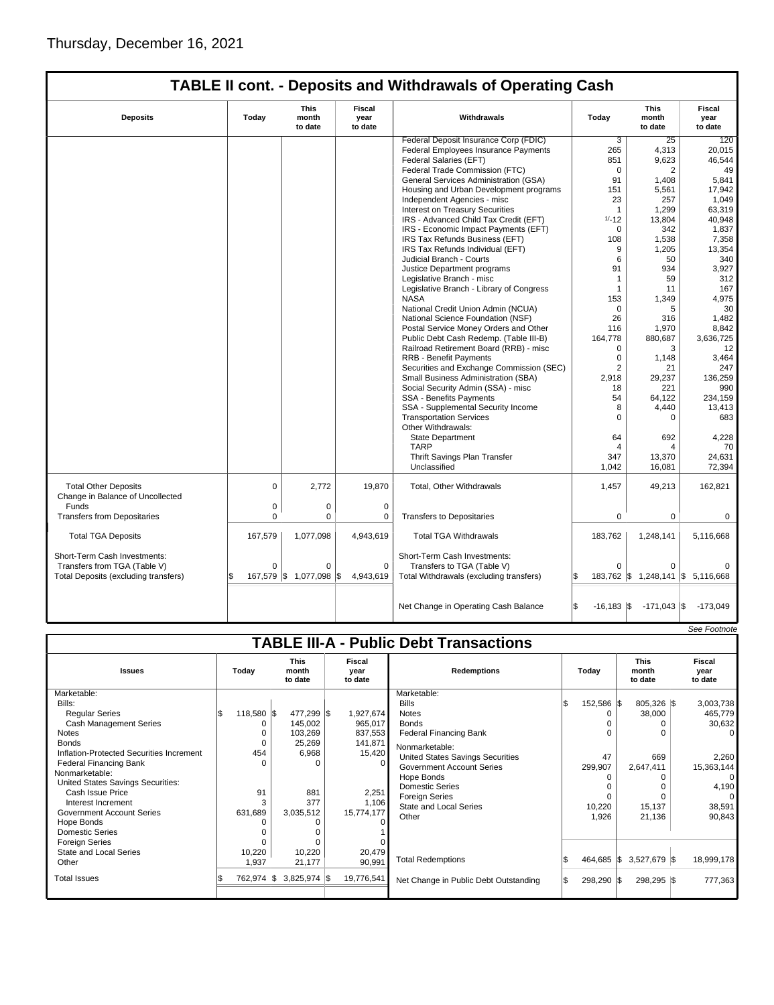|                                                                                                      |                                                                                      |                           |                       | <b>TABLE II cont. - Deposits and Withdrawals of Operating Cash</b>                                    |                 |                                               |                           |
|------------------------------------------------------------------------------------------------------|--------------------------------------------------------------------------------------|---------------------------|-----------------------|-------------------------------------------------------------------------------------------------------|-----------------|-----------------------------------------------|---------------------------|
| <b>Deposits</b>                                                                                      | <b>Fiscal</b><br>This<br>Today<br>month<br>Withdrawals<br>year<br>to date<br>to date |                           |                       |                                                                                                       | Today           | <b>This</b><br>month<br>to date               | Fiscal<br>year<br>to date |
|                                                                                                      |                                                                                      |                           |                       | Federal Deposit Insurance Corp (FDIC)                                                                 | 3               | 25                                            | 120                       |
|                                                                                                      |                                                                                      |                           |                       | Federal Employees Insurance Payments                                                                  | 265             | 4,313                                         | 20,015                    |
|                                                                                                      |                                                                                      |                           |                       | Federal Salaries (EFT)                                                                                | 851             | 9,623                                         | 46,544                    |
|                                                                                                      |                                                                                      |                           |                       | Federal Trade Commission (FTC)                                                                        | $\Omega$        | 2                                             | 49                        |
|                                                                                                      |                                                                                      |                           |                       | General Services Administration (GSA)                                                                 | 91              | 1,408                                         | 5,841                     |
|                                                                                                      |                                                                                      |                           |                       | Housing and Urban Development programs                                                                | 151             | 5,561                                         | 17,942                    |
|                                                                                                      |                                                                                      |                           |                       | Independent Agencies - misc                                                                           | 23              | 257                                           | 1,049                     |
|                                                                                                      |                                                                                      |                           |                       | <b>Interest on Treasury Securities</b>                                                                | $\overline{1}$  | 1,299                                         | 63,319                    |
|                                                                                                      |                                                                                      |                           |                       | IRS - Advanced Child Tax Credit (EFT)                                                                 | $1/ - 12$       | 13,804                                        | 40,948                    |
|                                                                                                      |                                                                                      |                           |                       | IRS - Economic Impact Payments (EFT)                                                                  | $\Omega$        | 342                                           | 1,837                     |
|                                                                                                      |                                                                                      |                           |                       | IRS Tax Refunds Business (EFT)                                                                        | 108             | 1,538                                         | 7,358                     |
|                                                                                                      |                                                                                      |                           |                       | IRS Tax Refunds Individual (EFT)                                                                      | 9               | 1,205                                         | 13,354                    |
|                                                                                                      |                                                                                      |                           |                       | Judicial Branch - Courts                                                                              | 6               | 50                                            | 340                       |
|                                                                                                      |                                                                                      |                           |                       | Justice Department programs                                                                           | 91              | 934                                           | 3,927                     |
|                                                                                                      |                                                                                      |                           |                       | Legislative Branch - misc                                                                             | $\mathbf 1$     | 59                                            | 312                       |
|                                                                                                      |                                                                                      |                           |                       | Legislative Branch - Library of Congress                                                              | $\mathbf{1}$    | 11                                            | 167                       |
|                                                                                                      |                                                                                      |                           |                       | <b>NASA</b>                                                                                           | 153             | 1,349                                         | 4,975                     |
|                                                                                                      |                                                                                      |                           |                       | National Credit Union Admin (NCUA)                                                                    | $\Omega$        | 5                                             | 30                        |
|                                                                                                      |                                                                                      |                           |                       | National Science Foundation (NSF)                                                                     | 26              | 316                                           | 1,482                     |
|                                                                                                      |                                                                                      |                           |                       | Postal Service Money Orders and Other                                                                 | 116             | 1,970                                         | 8,842                     |
|                                                                                                      |                                                                                      |                           |                       | Public Debt Cash Redemp. (Table III-B)                                                                | 164,778         | 880,687                                       | 3,636,725                 |
|                                                                                                      |                                                                                      |                           |                       | Railroad Retirement Board (RRB) - misc                                                                | 0               | 3                                             | 12                        |
|                                                                                                      |                                                                                      |                           |                       | <b>RRB - Benefit Payments</b>                                                                         | $\mathbf 0$     | 1,148                                         | 3,464                     |
|                                                                                                      |                                                                                      |                           |                       | Securities and Exchange Commission (SEC)                                                              | $\overline{2}$  | 21                                            | 247                       |
|                                                                                                      |                                                                                      |                           |                       | Small Business Administration (SBA)                                                                   | 2,918           | 29,237                                        | 136,259                   |
|                                                                                                      |                                                                                      |                           |                       | Social Security Admin (SSA) - misc                                                                    | 18              | 221                                           | 990                       |
|                                                                                                      |                                                                                      |                           |                       | SSA - Benefits Payments                                                                               | 54              | 64,122                                        | 234,159                   |
|                                                                                                      |                                                                                      |                           |                       | SSA - Supplemental Security Income                                                                    | 8               | 4,440                                         | 13,413                    |
|                                                                                                      |                                                                                      |                           |                       | <b>Transportation Services</b>                                                                        | $\Omega$        |                                               | 683                       |
|                                                                                                      |                                                                                      |                           |                       | Other Withdrawals:                                                                                    |                 |                                               |                           |
|                                                                                                      |                                                                                      |                           |                       | <b>State Department</b>                                                                               | 64              | 692                                           | 4,228                     |
|                                                                                                      |                                                                                      |                           |                       | <b>TARP</b>                                                                                           | Δ               |                                               | 70                        |
|                                                                                                      |                                                                                      |                           |                       | Thrift Savings Plan Transfer                                                                          | 347             | 13,370                                        | 24,631                    |
|                                                                                                      |                                                                                      |                           |                       | Unclassified                                                                                          | 1,042           | 16,081                                        | 72,394                    |
| <b>Total Other Deposits</b><br>Change in Balance of Uncollected                                      | $\mathbf 0$                                                                          | 2,772                     | 19,870                | Total, Other Withdrawals                                                                              | 1,457           | 49,213                                        | 162,821                   |
| Funds                                                                                                | 0                                                                                    | 0                         | 0                     |                                                                                                       |                 |                                               |                           |
| <b>Transfers from Depositaries</b>                                                                   | $\Omega$                                                                             | 0                         | $\mathbf 0$           | <b>Transfers to Depositaries</b>                                                                      | $\Omega$        | $\Omega$                                      | $\Omega$                  |
| <b>Total TGA Deposits</b>                                                                            | 167,579                                                                              | 1,077,098                 | 4,943,619             | <b>Total TGA Withdrawals</b>                                                                          | 183,762         | 1,248,141                                     | 5,116,668                 |
| Short-Term Cash Investments:<br>Transfers from TGA (Table V)<br>Total Deposits (excluding transfers) | $\Omega$<br>\$                                                                       | 0<br>167,579 \$ 1,077,098 | 0<br>1\$<br>4,943,619 | Short-Term Cash Investments:<br>Transfers to TGA (Table V)<br>Total Withdrawals (excluding transfers) | $\Omega$<br>1\$ | $\Omega$<br>183,762 \$ 1,248,141 \$ 5,116,668 | $\Omega$                  |
|                                                                                                      |                                                                                      |                           |                       |                                                                                                       |                 |                                               |                           |

|                                          |                   |                                 |                           |                                               |            |                                 | See Footnote              |
|------------------------------------------|-------------------|---------------------------------|---------------------------|-----------------------------------------------|------------|---------------------------------|---------------------------|
|                                          |                   |                                 |                           | <b>TABLE III-A - Public Debt Transactions</b> |            |                                 |                           |
| <b>Issues</b>                            | Today             | <b>This</b><br>month<br>to date | Fiscal<br>year<br>to date | <b>Redemptions</b>                            | Todav      | <b>This</b><br>month<br>to date | Fiscal<br>year<br>to date |
| Marketable:                              |                   |                                 |                           | Marketable:                                   |            |                                 |                           |
| Bills:                                   |                   |                                 |                           | <b>Bills</b>                                  | 152,586 \$ | 805,326 \$                      | 3,003,738                 |
| <b>Regular Series</b>                    | 118,580 \$<br>l\$ | 477,299 \$                      | 1,927,674                 | <b>Notes</b>                                  | O          | 38,000                          | 465,779                   |
| <b>Cash Management Series</b>            |                   | 145,002                         | 965,017                   | <b>Bonds</b>                                  |            | 0                               | 30,632                    |
| <b>Notes</b>                             |                   | 103,269                         | 837,553                   | <b>Federal Financing Bank</b>                 | 0          | O                               | 0                         |
| <b>Bonds</b>                             |                   | 25,269                          | 141,871                   | Nonmarketable:                                |            |                                 |                           |
| Inflation-Protected Securities Increment | 454               | 6,968                           | 15,420                    | <b>United States Savings Securities</b>       | 47         | 669                             | 2,260                     |
| <b>Federal Financing Bank</b>            |                   |                                 |                           | <b>Government Account Series</b>              | 299,907    | 2,647,411                       | 15,363,144                |
| Nonmarketable:                           |                   |                                 |                           | Hope Bonds                                    |            | O                               | $\overline{0}$            |
| United States Savings Securities:        |                   |                                 |                           | <b>Domestic Series</b>                        |            |                                 | 4,190                     |
| Cash Issue Price                         | 91                | 881                             | 2,251                     | <b>Foreign Series</b>                         | $\Omega$   |                                 |                           |
| Interest Increment                       |                   | 377                             | 1,106                     | <b>State and Local Series</b>                 | 10,220     | 15,137                          | 38,591                    |
| <b>Government Account Series</b>         | 631,689           | 3,035,512                       | 15,774,177                | Other                                         | 1,926      | 21,136                          | 90,843                    |
| Hope Bonds                               |                   |                                 |                           |                                               |            |                                 |                           |
| <b>Domestic Series</b>                   |                   |                                 |                           |                                               |            |                                 |                           |
| <b>Foreign Series</b>                    |                   |                                 |                           |                                               |            |                                 |                           |
| <b>State and Local Series</b>            | 10,220            | 10,220                          | 20,479                    |                                               |            |                                 |                           |
| Other                                    | 1,937             | 21,177                          | 90,991                    | <b>Total Redemptions</b>                      | 464,685 \$ | $3,527,679$ \$                  | 18,999,178                |
| <b>Total Issues</b>                      | 762,974           | $3,825,974$ \$<br>IS.           | 19,776,541                | Net Change in Public Debt Outstanding         | 298,290 \$ | 298,295 \$                      | 777,363                   |

Net Change in Operating Cash Balance  $\begin{vmatrix} 1 & 0 & 0 \\ 0 & -16 & 183 \\ 0 & -171 & 043 \end{vmatrix}$  \$ -173,049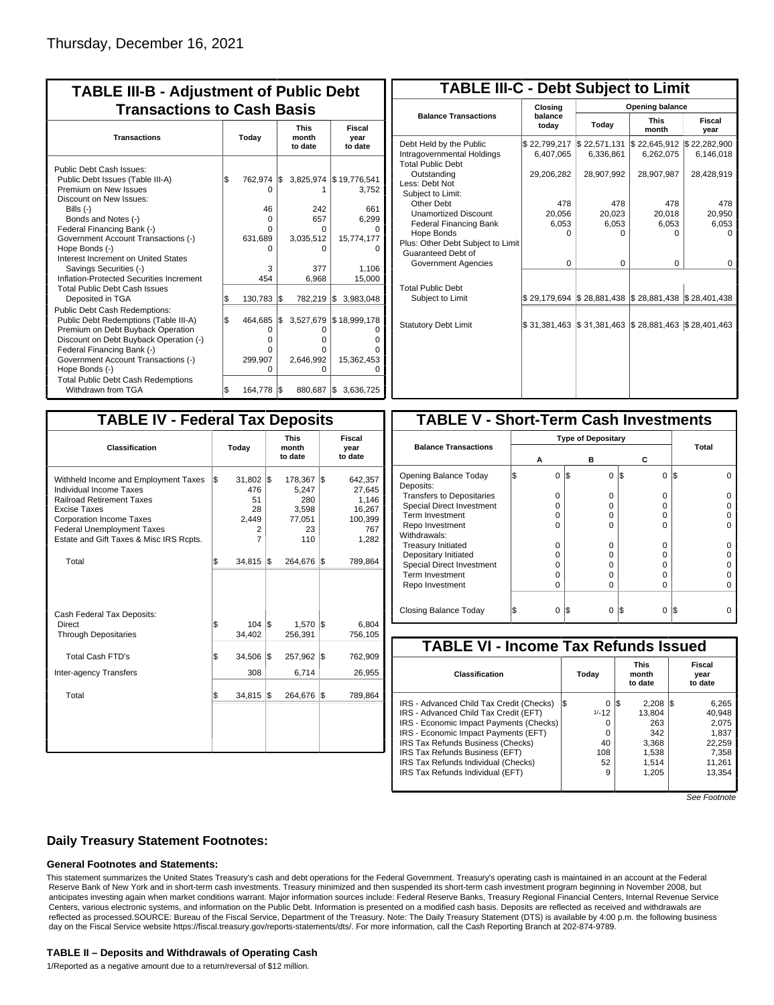| <b>TABLE III-B - Adjustment of Public Debt</b><br><b>Transactions to Cash Basis</b>                                                                                                                                                                                                                                                                                                                |          |                                                               |            |                                                          |                                                                                  |  |  |  |  |
|----------------------------------------------------------------------------------------------------------------------------------------------------------------------------------------------------------------------------------------------------------------------------------------------------------------------------------------------------------------------------------------------------|----------|---------------------------------------------------------------|------------|----------------------------------------------------------|----------------------------------------------------------------------------------|--|--|--|--|
| <b>Transactions</b>                                                                                                                                                                                                                                                                                                                                                                                | Today    |                                                               |            | <b>This</b><br>month<br>to date                          | Fiscal<br>year<br>to date                                                        |  |  |  |  |
| Public Debt Cash Issues:<br>Public Debt Issues (Table III-A)<br>Premium on New Issues<br>Discount on New Issues:<br>Bills $(-)$<br>Bonds and Notes (-)<br>Federal Financing Bank (-)<br>Government Account Transactions (-)<br>Hope Bonds (-)<br>Interest Increment on United States<br>Savings Securities (-)<br>Inflation-Protected Securities Increment<br><b>Total Public Debt Cash Issues</b> | \$       | 762,974 \$<br>$\Omega$<br>46<br>0<br>U<br>631,689<br>3<br>454 |            | 242<br>657<br>O<br>3,035,512<br>n<br>377<br>6,968        | 3,825,974 \$19,776,541<br>3.752<br>661<br>6,299<br>15,774,177<br>1,106<br>15,000 |  |  |  |  |
| Deposited in TGA<br><b>Public Debt Cash Redemptions:</b><br>Public Debt Redemptions (Table III-A)<br>Premium on Debt Buyback Operation<br>Discount on Debt Buyback Operation (-)<br>Federal Financing Bank (-)<br>Government Account Transactions (-)<br>Hope Bonds (-)<br><b>Total Public Debt Cash Redemptions</b>                                                                               | \$<br>\$ | 130,783<br>464,685<br>0<br>o<br>0<br>299,907<br>0             | l\$<br>I\$ | 782,219 \$<br>3,527,679<br>O<br>o<br>o<br>2,646,992<br>ი | 3,983,048<br>\$18,999,178<br>15,362,453                                          |  |  |  |  |
| Withdrawn from TGA                                                                                                                                                                                                                                                                                                                                                                                 | \$       | 164,778 \$                                                    |            | 880,687 \$                                               | 3,636,725                                                                        |  |  |  |  |

| <b>TABLE III-C - Debt Subject to Limit</b>                                        |                           |                                                   |                           |                           |  |  |  |  |  |  |
|-----------------------------------------------------------------------------------|---------------------------|---------------------------------------------------|---------------------------|---------------------------|--|--|--|--|--|--|
|                                                                                   | Closing                   | Opening balance                                   |                           |                           |  |  |  |  |  |  |
| <b>Balance Transactions</b>                                                       | balance<br>today          | Today                                             | <b>This</b><br>month      |                           |  |  |  |  |  |  |
| Debt Held by the Public<br>Intragovernmental Holdings<br><b>Total Public Debt</b> | \$22,799,217<br>6,407,065 | \$22,571,131<br>6,336,861                         | \$22,645,912<br>6,262,075 | \$22,282,900<br>6,146,018 |  |  |  |  |  |  |
| Outstanding<br>Less: Debt Not<br>Subject to Limit:                                | 29,206,282                | 28,907,992                                        | 28,907,987                | 28,428,919                |  |  |  |  |  |  |
| Other Debt                                                                        | 478                       | 478                                               | 478                       | 478                       |  |  |  |  |  |  |
| <b>Unamortized Discount</b>                                                       | 20.056                    | 20,023                                            | 20,018                    | 20,950                    |  |  |  |  |  |  |
| <b>Federal Financing Bank</b>                                                     | 6,053                     | 6,053                                             | 6,053                     | 6,053                     |  |  |  |  |  |  |
| Hope Bonds                                                                        | 0                         | O                                                 | 0                         | $\Omega$                  |  |  |  |  |  |  |
| Plus: Other Debt Subject to Limit<br>Guaranteed Debt of                           |                           |                                                   |                           |                           |  |  |  |  |  |  |
| Government Agencies                                                               | $\Omega$                  | 0                                                 | 0                         | 0                         |  |  |  |  |  |  |
| <b>Total Public Debt</b><br>Subject to Limit                                      | \$29,179,694              | $\frac{1}{2}$ 28,881,438 $\frac{1}{2}$ 28,881,438 |                           | \$28,401,438              |  |  |  |  |  |  |
|                                                                                   |                           |                                                   |                           |                           |  |  |  |  |  |  |
| <b>Statutory Debt Limit</b>                                                       | \$31.381.463              | \$31,381,463                                      | \$28,881,463              | \$28,401,463              |  |  |  |  |  |  |
|                                                                                   |                           |                                                   |                           |                           |  |  |  |  |  |  |

| <b>TABLE IV - Federal Tax Deposits</b>                                                                                                                                                                                                        |    |                                                           |     |                                                         |     |                                                                 |  |  |  |
|-----------------------------------------------------------------------------------------------------------------------------------------------------------------------------------------------------------------------------------------------|----|-----------------------------------------------------------|-----|---------------------------------------------------------|-----|-----------------------------------------------------------------|--|--|--|
| <b>Classification</b>                                                                                                                                                                                                                         |    | Today                                                     |     | <b>This</b><br>month<br>to date                         |     | Fiscal<br>year<br>to date                                       |  |  |  |
| Withheld Income and Employment Taxes<br>Individual Income Taxes<br><b>Railroad Retirement Taxes</b><br><b>Excise Taxes</b><br><b>Corporation Income Taxes</b><br><b>Federal Unemployment Taxes</b><br>Estate and Gift Taxes & Misc IRS Rcpts. | \$ | $31,802$ $\sqrt{5}$<br>476<br>51<br>28<br>2,449<br>2<br>7 |     | 178,367<br>5,247<br>280<br>3,598<br>77,051<br>23<br>110 | l\$ | 642,357<br>27,645<br>1,146<br>16,267<br>100,399<br>767<br>1,282 |  |  |  |
| Total                                                                                                                                                                                                                                         | \$ | 34,815                                                    | 1\$ | 264,676                                                 | 1\$ | 789,864                                                         |  |  |  |
| Cash Federal Tax Deposits:<br>Direct<br><b>Through Depositaries</b>                                                                                                                                                                           | \$ | $104$ $ $ \$<br>34,402                                    |     | 1,570<br>256,391                                        | 1\$ | 6,804<br>756,105                                                |  |  |  |
| Total Cash FTD's<br><b>Inter-agency Transfers</b>                                                                                                                                                                                             | \$ | 34,506<br>308                                             | l\$ | 257,962<br>6,714                                        | 1\$ | 762,909<br>26,955                                               |  |  |  |
| Total                                                                                                                                                                                                                                         | \$ | 34,815                                                    | 1\$ | 264,676                                                 | 1\$ | 789,864                                                         |  |  |  |
|                                                                                                                                                                                                                                               |    |                                                           |     |                                                         |     |                                                                 |  |  |  |

| <b>TABLE V - Short-Term Cash Investments</b> |   |   |     |                           |          |       |  |  |  |
|----------------------------------------------|---|---|-----|---------------------------|----------|-------|--|--|--|
|                                              |   |   |     | <b>Type of Depositary</b> |          |       |  |  |  |
| <b>Balance Transactions</b>                  | А |   |     | в                         | С        | Total |  |  |  |
| Opening Balance Today<br>Deposits:           |   | 0 | I\$ | 0                         | 1\$<br>0 | 1\$   |  |  |  |
| <b>Transfers to Depositaries</b>             |   | 0 |     | 0                         | 0        |       |  |  |  |
| <b>Special Direct Investment</b>             |   | O |     | O                         | 0        |       |  |  |  |
| Term Investment                              |   | 0 |     | O                         | 0        |       |  |  |  |
| Repo Investment                              |   | O |     | U                         | U        |       |  |  |  |
| Withdrawals:                                 |   |   |     |                           |          |       |  |  |  |
| <b>Treasury Initiated</b>                    |   | O |     | 0                         | 0        |       |  |  |  |
| Depositary Initiated                         |   | O |     | O                         | 0        |       |  |  |  |
| <b>Special Direct Investment</b>             |   | Ω |     | O                         | 0        |       |  |  |  |
| <b>Term Investment</b>                       |   | ი |     | O                         | 0        |       |  |  |  |
| Repo Investment                              |   | 0 |     | 0                         | 0        |       |  |  |  |
|                                              |   |   |     |                           |          |       |  |  |  |
| Closing Balance Today                        |   | 0 | I\$ | 0                         | 13<br>0  | 1\$   |  |  |  |

| <b>TABLE VI - Income Tax Refunds Issued</b> |     |         |    |                                 |                           |        |  |  |  |  |
|---------------------------------------------|-----|---------|----|---------------------------------|---------------------------|--------|--|--|--|--|
| Classification                              |     | Today   |    | <b>This</b><br>month<br>to date | Fiscal<br>year<br>to date |        |  |  |  |  |
| IRS - Advanced Child Tax Credit (Checks)    | l\$ | 0       | 13 | $2,208$ \\$                     |                           | 6,265  |  |  |  |  |
| IRS - Advanced Child Tax Credit (EFT)       |     | $1/-12$ |    | 13.804                          |                           | 40.948 |  |  |  |  |
| IRS - Economic Impact Payments (Checks)     |     | Ω       |    | 263                             |                           | 2.075  |  |  |  |  |
| IRS - Economic Impact Payments (EFT)        |     | 0       |    | 342                             |                           | 1.837  |  |  |  |  |
| IRS Tax Refunds Business (Checks)           |     | 40      |    | 3,368                           |                           | 22,259 |  |  |  |  |
| IRS Tax Refunds Business (EFT)              |     | 108     |    | 1,538                           |                           | 7.358  |  |  |  |  |
| IRS Tax Refunds Individual (Checks)         |     | 52      |    | 1,514                           |                           | 11,261 |  |  |  |  |
| IRS Tax Refunds Individual (EFT)            |     | 9       |    | 1.205                           |                           | 13.354 |  |  |  |  |

See Footnote

## **Daily Treasury Statement Footnotes:**

### **General Footnotes and Statements:**

This statement summarizes the United States Treasury's cash and debt operations for the Federal Government. Treasury's operating cash is maintained in an account at the Federal Reserve Bank of New York and in short-term cash investments. Treasury minimized and then suspended its short-term cash investment program beginning in November 2008, but anticipates investing again when market conditions warrant. Major information sources include: Federal Reserve Banks, Treasury Regional Financial Centers, Internal Revenue Service Centers, various electronic systems, and information on the Public Debt. Information is presented on a modified cash basis. Deposits are reflected as received and withdrawals are reflected as processed.SOURCE: Bureau of the Fiscal Service, Department of the Treasury. Note: The Daily Treasury Statement (DTS) is available by 4:00 p.m. the following business day on the Fiscal Service website https://fiscal.treasury.gov/reports-statements/dts/. For more information, call the Cash Reporting Branch at 202-874-9789.

#### **TABLE II – Deposits and Withdrawals of Operating Cash**

1/Reported as a negative amount due to a return/reversal of \$12 million.